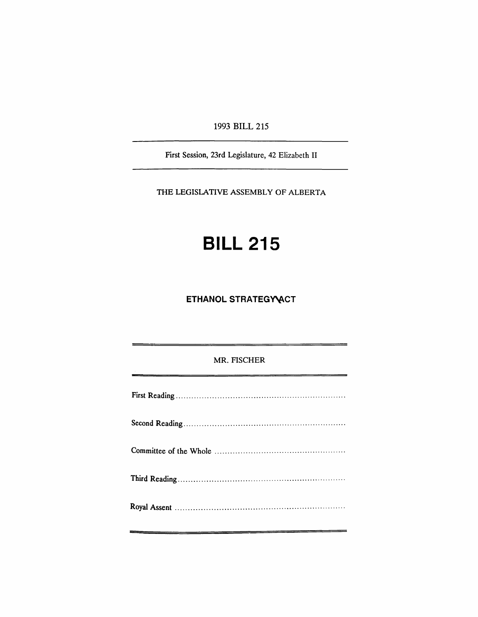1993 BILL 215

First Session, 23rd Legislature, 42 Elizabeth II

THE LEGISLATIVE ASSEMBLY OF ALBERTA

# **BILL 215**

**ETHANOL STRATEGY ACT** 

# MR. FISCHER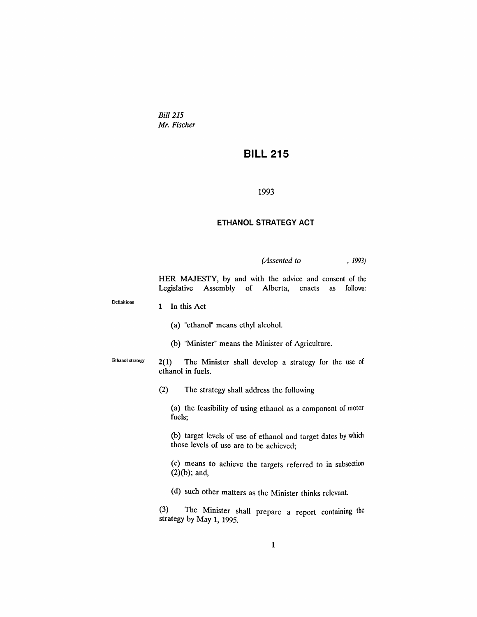*Bill 215 Mr. Fischer*

# **BILL 215**

#### 1993

## **ETHANOL STRATEGY ACT**

## *(Assented to* , 1993)

HER MAJESTY, by and with the advice and consent of the Legislative Assembly of Alberta, enacts as follows:

| Definitions      | In this Act<br>1                                                                                         |
|------------------|----------------------------------------------------------------------------------------------------------|
|                  | (a) "ethanol" means ethyl alcohol.                                                                       |
|                  | (b) "Minister" means the Minister of Agriculture.                                                        |
| Ethanol strategy | 2(1)<br>The Minister shall develop a strategy for the use of<br>ethanol in fuels.                        |
|                  | (2)<br>The strategy shall address the following                                                          |
|                  | (a) the feasibility of using ethanol as a component of motor<br>fuels;                                   |
|                  | (b) target levels of use of ethanol and target dates by which<br>those levels of use are to be achieved; |
|                  | (c) means to achieve the targets referred to in subsection<br>$(2)(b)$ ; and,                            |
|                  | (d) such other matters as the Minister thinks relevant.                                                  |
|                  | (3)<br>The Minister shall prepare a report containing the<br>strategy by May 1, 1995.                    |